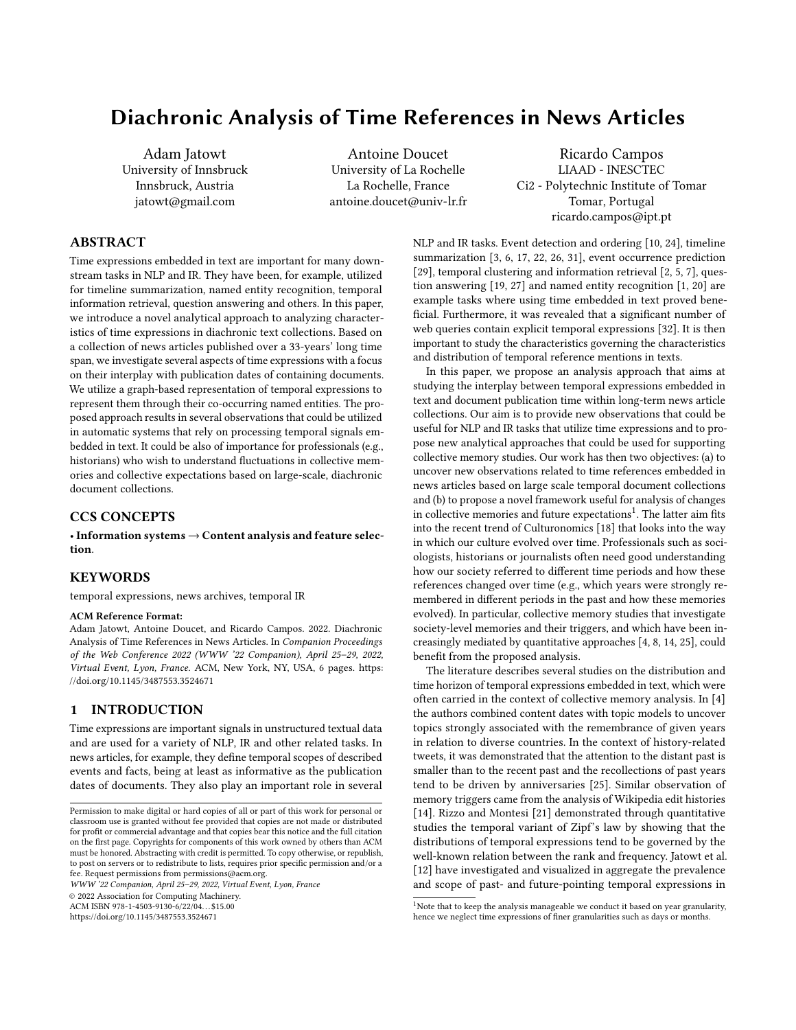# Diachronic Analysis of Time References in News Articles

Adam Jatowt University of Innsbruck Innsbruck, Austria jatowt@gmail.com

Antoine Doucet University of La Rochelle La Rochelle, France antoine.doucet@univ-lr.fr

Ricardo Campos LIAAD - INESCTEC Ci2 - Polytechnic Institute of Tomar Tomar, Portugal ricardo.campos@ipt.pt

# ABSTRACT

Time expressions embedded in text are important for many downstream tasks in NLP and IR. They have been, for example, utilized for timeline summarization, named entity recognition, temporal information retrieval, question answering and others. In this paper, we introduce a novel analytical approach to analyzing characteristics of time expressions in diachronic text collections. Based on a collection of news articles published over a 33-years' long time span, we investigate several aspects of time expressions with a focus on their interplay with publication dates of containing documents. We utilize a graph-based representation of temporal expressions to represent them through their co-occurring named entities. The proposed approach results in several observations that could be utilized in automatic systems that rely on processing temporal signals embedded in text. It could be also of importance for professionals (e.g., historians) who wish to understand fluctuations in collective memories and collective expectations based on large-scale, diachronic document collections.

## CCS CONCEPTS

• Information systems → Content analysis and feature selection.

## **KEYWORDS**

temporal expressions, news archives, temporal IR

#### ACM Reference Format:

Adam Jatowt, Antoine Doucet, and Ricardo Campos. 2022. Diachronic Analysis of Time References in News Articles. In Companion Proceedings of the Web Conference 2022 (WWW '22 Companion), April 25–29, 2022, Virtual Event, Lyon, France. ACM, New York, NY, USA, 6 pages. [https:](https://doi.org/10.1145/3487553.3524671) [//doi.org/10.1145/3487553.3524671](https://doi.org/10.1145/3487553.3524671)

### 1 INTRODUCTION

Time expressions are important signals in unstructured textual data and are used for a variety of NLP, IR and other related tasks. In news articles, for example, they define temporal scopes of described events and facts, being at least as informative as the publication dates of documents. They also play an important role in several

WWW '22 Companion, April 25–29, 2022, Virtual Event, Lyon, France

© 2022 Association for Computing Machinery.

ACM ISBN 978-1-4503-9130-6/22/04. . . \$15.00

<https://doi.org/10.1145/3487553.3524671>

NLP and IR tasks. Event detection and ordering [10, 24], timeline summarization [3, 6, 17, 22, 26, 31], event occurrence prediction [29], temporal clustering and information retrieval [2, 5, 7], question answering [19, 27] and named entity recognition [1, 20] are example tasks where using time embedded in text proved beneficial. Furthermore, it was revealed that a significant number of web queries contain explicit temporal expressions [32]. It is then important to study the characteristics governing the characteristics and distribution of temporal reference mentions in texts.

In this paper, we propose an analysis approach that aims at studying the interplay between temporal expressions embedded in text and document publication time within long-term news article collections. Our aim is to provide new observations that could be useful for NLP and IR tasks that utilize time expressions and to propose new analytical approaches that could be used for supporting collective memory studies. Our work has then two objectives: (a) to uncover new observations related to time references embedded in news articles based on large scale temporal document collections and (b) to propose a novel framework useful for analysis of changes in collective memories and future expectations<sup>1</sup>. The latter aim fits into the recent trend of Culturonomics [18] that looks into the way in which our culture evolved over time. Professionals such as sociologists, historians or journalists often need good understanding how our society referred to different time periods and how these references changed over time (e.g., which years were strongly remembered in different periods in the past and how these memories evolved). In particular, collective memory studies that investigate society-level memories and their triggers, and which have been increasingly mediated by quantitative approaches [4, 8, 14, 25], could benefit from the proposed analysis.

The literature describes several studies on the distribution and time horizon of temporal expressions embedded in text, which were often carried in the context of collective memory analysis. In [4] the authors combined content dates with topic models to uncover topics strongly associated with the remembrance of given years in relation to diverse countries. In the context of history-related tweets, it was demonstrated that the attention to the distant past is smaller than to the recent past and the recollections of past years tend to be driven by anniversaries [25]. Similar observation of memory triggers came from the analysis of Wikipedia edit histories [14]. Rizzo and Montesi [21] demonstrated through quantitative studies the temporal variant of Zipf's law by showing that the distributions of temporal expressions tend to be governed by the well-known relation between the rank and frequency. Jatowt et al. [12] have investigated and visualized in aggregate the prevalence and scope of past- and future-pointing temporal expressions in

Permission to make digital or hard copies of all or part of this work for personal or classroom use is granted without fee provided that copies are not made or distributed for profit or commercial advantage and that copies bear this notice and the full citation on the first page. Copyrights for components of this work owned by others than ACM must be honored. Abstracting with credit is permitted. To copy otherwise, or republish, to post on servers or to redistribute to lists, requires prior specific permission and/or a fee. Request permissions from permissions@acm.org.

 $1$ Note that to keep the analysis manageable we conduct it based on year granularity, hence we neglect time expressions of finer granularities such as days or months.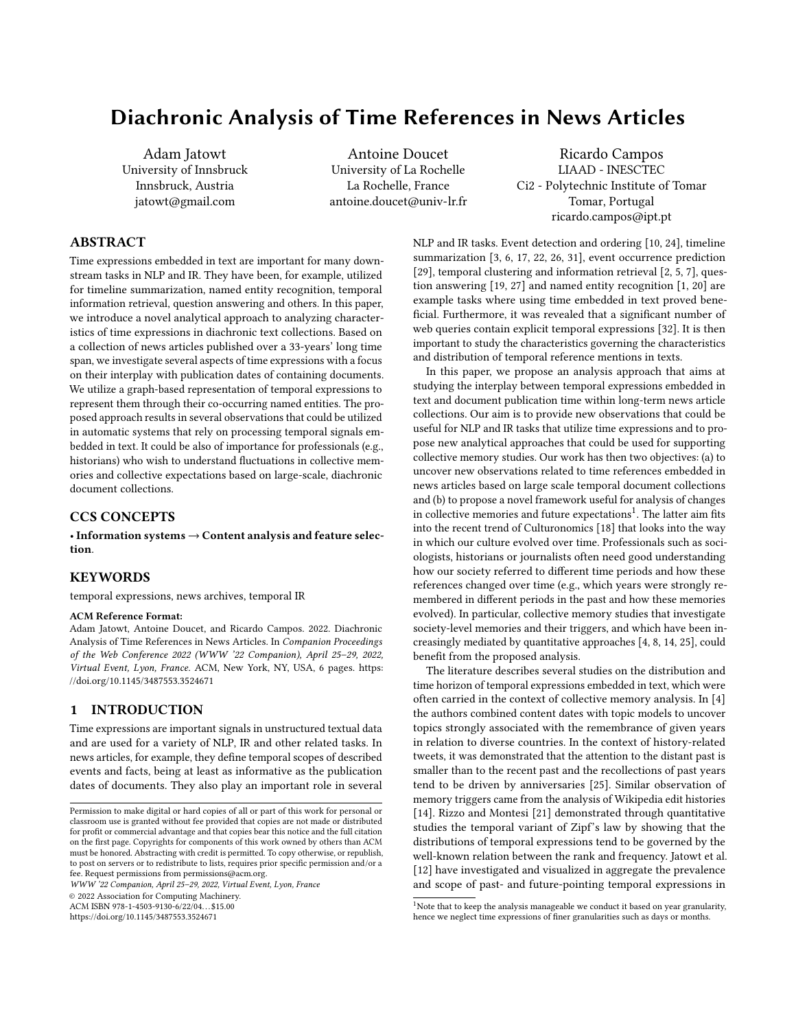Twitter. An aggregate analysis of date mentions was also done over street names in [23]. Diachronic analysis of time references within temporal document collections was however less researched. In [9] the authors investigated diachronic changes of temporal expressions based on relative entropy in scientific writing ranging from 1665 to 2007. In this paper, we conduct frequency, semantic, and time-based analysis of content dates (i.e., year mentions) within a 20 years long collection of news articles. We employ a technique of graph-based embeddings and of temporal embeddings, and utilize named entities for representing years, as entities are the essence of news and are strongly associated with temporal signals [1, 20].

### 2 DATASET

The dataset is composed of New York Times articles that were published from Jan 1, 1981 to Mar 28, 2013 and which were crawled online, similarly to the procedure employed by Yao et al. [30]. In total, our document collection contains 282,412 news articles belonging to 4 decades. Named entities were extracted from the article content using the Stanford Natural Language toolkit for named entity extraction<sup>2</sup>. After lowercasing, there were 4,484,145 entity instances found, resulting in 706,163 unique entities. Entities were grouped into four types: year, location, organization, person.

All the entities, except years, were then further filtered to retain only those that appear at least 20 times. This resulted in 20,593 unique entities (there are about 17k, 19.5k, 19.3k, and 11.6k unique entities in the 1980s, 1990s, 2020s and 2010s decade, respectively) which were used for creating the co-occurrence graph further described in Sec. 5. In our analysis, we focus on the year references between 1900 and 2020<sup>3</sup>, based on the prior study in literature which revealed that time references of yearly granularity are most commonly used when referring to distant periods  $[13]^4$ . In the remainder of the paper we use an expression content years to denote years mentioned as temporal expressions in the content of news articles to distinguish them from publication years of these articles.

## 3 ANALYSIS

#### 3.1 Frequency Analysis

We first look into how year mentions are distributed over time in our dataset. Fig. 1 shows the distributions of year mentions (called also content years) in each segment<sup>5</sup> of the dataset's interval (i.e., period from 1981 to 2013). For facilitating the visualization, we indicate with the same color the year mentions that belong to the same decade. First, we notice that the mentions of content years from the 1980s, 1990s, 2000s and 2010s are the most common in our dataset. Rizzo and Montesi [21] have already demonstrated that most of the content temporal expressions fall within the time scope of an underlying dataset. This can be indeed observed in Fig. 1 as the content years of 80s, 90s and 00s decades are the most common. What we can additionally see is that distant past decades (1900s-1930s), such as ones from around the beginning of the last century, are much less common, and they tend to appear relatively

more uniformly over time than the years from the later decades (1940s-1970s), which are subject to sharper decreases.

The low frequency and low variance of frequencies of content years that point to the outside periods of our dataset (in our case these are content years of 1900s-1970s and of 2020s) is also evident in Fig. 2. Fig. 2 plots the so-called standardized variance of the frequency of content dates computed over the time period covered by our dataset. In particular, the vertical axis gives the coefficient of variation (also known as the relative standard deviation) which is defined as the ratio of standard deviation to the mean, both of which are calculated over 33 year-long segments of the dataset. The frequency of year mentions is shown on the other hand on the horizontal axis. For computing the variance, we first divided the dataset span into 33 year segments and then we measured the frequency of each unique content year mention in every segment. We could then compute content years' variances and plot Fig. 2 to see if we can corroborate the prior observations from Fig. 1.

To facilitate the visualization and comparison between Fig. 1 and Fig. 2, years of each particular decade are marked by the same distinctive color. The individual years in Fig. 2 are distinguished by labels representing their last-digits. For instance, the number 9 occurring at the very top of the figure with a dot in pink colour indicates the content date "2019" since pink is used to denote the last decade (2010s). We can observe that while this year has a rather moderate frequency, it is subject to the highest variation.

Overall, we can see that years in the early decades (i.e., distant past) occur with quite low average frequency, thus confirming the intuition that distant past matters less than the near past. They also tend to be mentioned rather uniformly over the duration of our dataset (i.e., from 1981 to 2013) as indicated by their low relative standard deviation. Another thing to note is that both the mean frequency as well as the relative standard deviation tend to increase for the content years which are closer to the left boundary of the dataset (i.e., 1981) when following the timeline from the past to future. This trend reverses, however, for future-pointing content years, i.e., years after the dataset's right boundary (i.e., 2013) that are indicated in red. The future years again occur relatively less frequently and are subject to smaller variations across the dataset span compared to the years of 1980s-2010s. Quite high variation is on the other hand characterizing the years that fall within the range of the collection span (i.e., 1981 to 2013) which is likely due to the typical focus on freshness and recency in news articles.

Round years (i.e., the first years of each decade denoted by labels "0") have usually higher mean frequency than their nearby years. The round years also occur with a relatively low variance, usually lower than other years of the same corresponding decade. This is likely because they may serve as a kind of temporal landmarks or due to the occurrence of decade-denoting references like 1980s.

# 4 ENTITY CO-OCCURRENCE ANALYSIS

We now turn our attention to the analysis of the co-occurrence of year mentions with other entities. The plot in Fig. 3 shows the relation between the average frequency of content years computed over all the segments of the dataset (x-axis) and the total number of entities that these content years co-occur with in the dataset (yaxis). By looking at the figure one can notice the positive correlation between the content year's frequency and its level of co-occurrence

<sup>2</sup><https://nlp.stanford.edu/software/CRF-NER.html>

<sup>&</sup>lt;sup>3</sup>Note that since NYT dataset ends in 2013, our analysis also involves future pointing years that is years from 2013 to 2020.<br><sup>4</sup>We decided to start from 1900 since the expressions pointing to years before 1900

were relatively rare in our dataset.

<sup>5</sup>We use yearly granularity hence the segments have unit length of 1 year.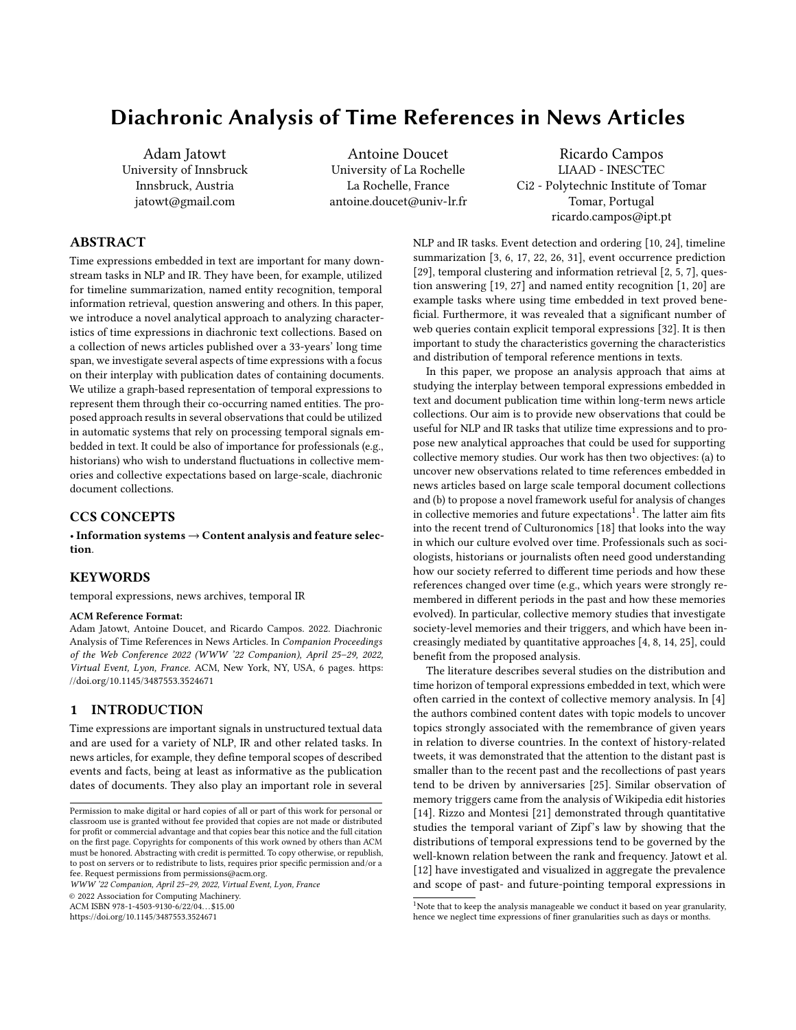

Figure 1: Distributions of decades corresponding to the content years in each year-long segment of the dataset span. Best viewed in color.



Figure 2: Average frequency of the content years (x-axis) vs. their coefficients of variation (y-axis) computed over the 33 year segments. A content year is indicated by its last digit and by the color of its corresponding decade. Best viewed in color.

with entities per year. We can also observe that the degree of the cooccurrence with entities is the highest for the years that fall within the dataset's time span, while it gets lower for the years before and after that time span. This means the texts about the years before the collection's start date and the years after the collection's end have smaller numbers of co-occurring entities than the other dates. Also, as we see, round years have on average higher co-occurrence

with entities than the other years in their respective decades, which corresponds to the observation from Fig. 2.

#### 5 SEMANTIC ANALYSIS OF CONTENT YEARS

We next embed years based on the entities they co-occur with. For this, we first create a graph  $G = (V, E)$  such that a vertex  $v_i \in V$  represents an entity (any entities including also content years which are considered as entities as well) and the weight of an edge  $e_j \in E$  is determined by using Pointwise Mutual Information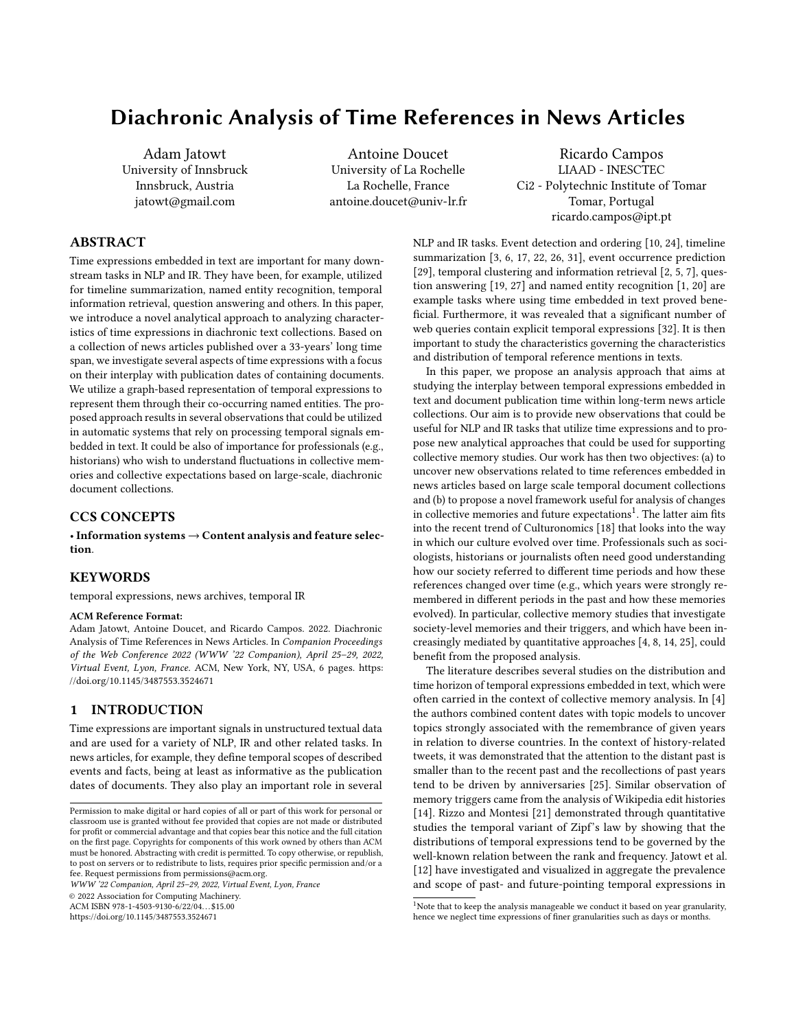

Figure 3: The total count of content years (x-axis) vs. the average number of unique entities that co-occur with them computed over yearly chunks of the dataset. A given year is represented by displaying its last digit and by the color of its corresponding decade. Best viewed in color.

(PMI) measure of association computed at the document level<sup>6</sup>. We then use node2vec [11], a popular graph embedding approach, to compute year embedding vectors with dimensions set to  $128^7$ . Finally, we display in Fig. 4 the content year embeddings from our dataset on a 2D plot using t-SNE visualization [16].

As we can observe, the chronologically close years are generally located near each other, although this is rather less obvious for the distant past years. The past years are positioned on the bottom left, and these are followed by the years just before and within the dataset's time interval, which are situated around the lower middle of the figure. Future years appear to be separated from the rest of the pack and sit on the top right. The overall shape of the plot is quite interesting as the density (or spatial dispersion) of near years' seem to change along the time from less to more compact once we move from the past towards the present. The distant past (1900- 1939) occupies a relatively large round area, while the more recent past (1940-1979) "becomes narrower" and the "present" (1980-2013) has already a quite elongated plot shape. One interpretation for this could be that years in the distant past tend to be quite diverse and often dissimilar from each other, and their chronological distance is less correlated with their semantic similarity. On the other hand, the semantic similarity between the more recent years is more governed by their chronological order, so that chronologically nearby years are close to each other. However, when the temporal distance increases, so does the dissimilarity, hence the correlation between the two is stronger for more recent years (hence the elongated plot).

#### 6 TEMPORAL ANALYSIS

Finally, we would like to quantify the degree of drift that the semantics of each year underwent over the time span of the dataset. We thus need an approach that allows comparing the year embeddings computed over different decades of our dataset. To this regard, we create 4 graphs (each one for a different decade of data split) such that for each graph  $G^i = (V^i, E^i)$  a vertex  $v_j \in V^i$  represents all the entities including also years, and the weight of an edge  $e_j \in E^i$  is determined by using Pointwise Mutual Information (PMI) measure of association between nodes computed on the document level in a similar way as in Sec. 5. What is important to note is that each graph is created based on data from a particular decade that the dataset spans over (i.e., 1980's, 1990's, 2000's and 2010's). The resulting graphs represent the co-occurrence data of all the entities in each of these four decades. We then use a method that relies on retraining the embeddings sequentially from the oldest decade (i.e., 1980s) to the latest decade (i.e., 2000s) [15] such that the model's parameters obtained after training on one decade (i.e., on graph  $\overrightarrow{G}^i$ ) are updated by subsequently training on the data from the next decade (i.e., on graph  $G^{i+1}$ ). In this way, we generate 120 vectors that represent all the analyzed content years (i.e., ones from 1900 to 2020) in each decade of the dataset span ('80s, '90s, '00s and '10s). Hence in total there are 480 vectors as each of 120 content years is represented by 4 vectors where each one corresponds to one of 4 different decades covered by our dataset. We then use the Affinity Propagation (AP) clustering $^8$  to capture the similarities and differences between year embeddings trained over different temporal chunks of the dataset (i.e., four decades: '80s, '90s, '00s and '10s). AP is a clustering method based on a message passing mechanism

 $^6\rm{We}$  have dropped edges whose entities co-occurred less than 15 times in the dataset. <sup>7</sup>We use the following implementation: [https://github.com/aditya-grover/node2vec/](https://github.com/aditya-grover/node2vec/blob/master/src/main.py) [blob/master/src/main.py](https://github.com/aditya-grover/node2vec/blob/master/src/main.py) with default values (walk-length: 80, num-walks: 20, windowsize: 10, etc.)

 $8$ We utilize Scikit-learn implementation with the default parameters.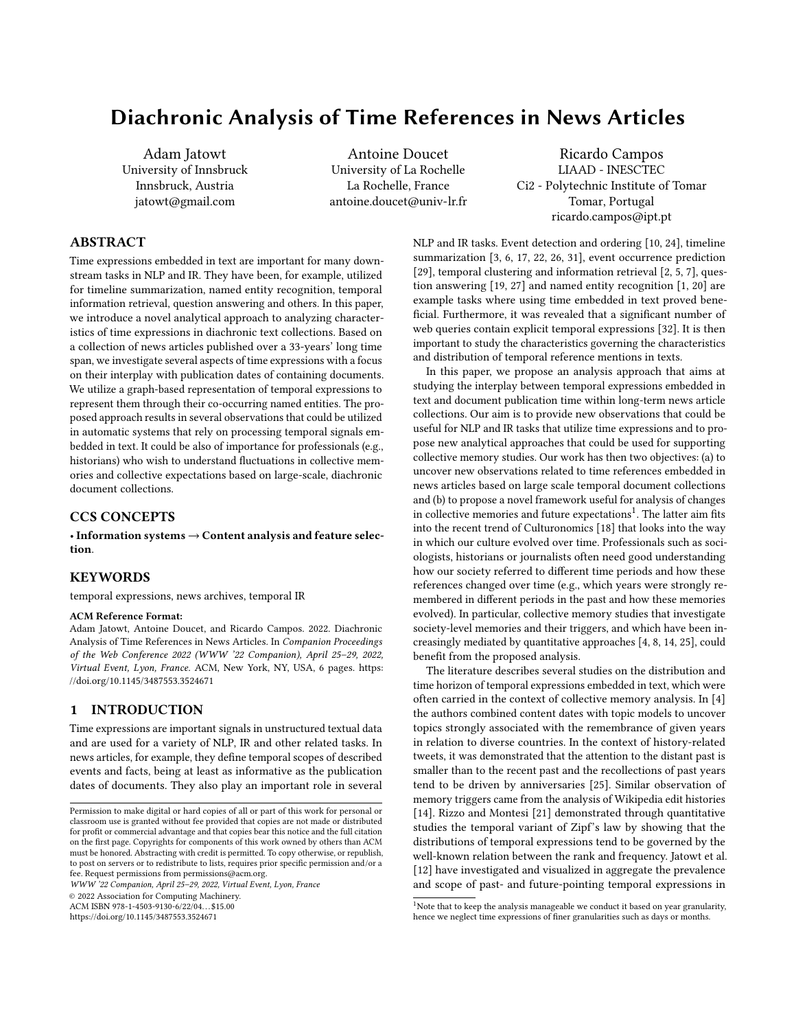

Figure 4: Similarities of year embeddings. Best viewed in color.

that does not require setting the number of clusters. The number of clusters is decided automatically based on the input dataset. After applying AP to our 480 embedding vectors of years, we obtained 51 clusters which are shown by color coding in Fig. 5. Each cell of Fig. 5 corresponds to a particular content year (indicated as the row number from 1900 to 2020) that is embedded based on data from a given decade of the dataset's span (see the column labels: '80s, '90s, '00s and '10s). The numbers in cells and their colors correspond to particular clusters (the numbers represent cluster ids).

It is interesting to observe that only for one year (1953) all the four vector representations of that year fall into the same cluster. Most of the time, embeddings of the same year that were derived on the basis of different decades are placed in different clusters meaning that the semantics of content dates tend to differ quite much in different temporal splits of the dataset. Only 13 years (i.e., only 11% of the studied years) have 3 or more of their representations (out of 4 possible) that belong to the same cluster. Interestingly, 37 years, which constitutes over 30% of all the analyzed content years, have each of their representations belonging to a different cluster. Also, we observe in Fig. 5 that clusters tend to be spaced column-wise rather than row-wise, and that they cover relatively coherent regions considering the rather long time span of content years (120 years). Overall, these findings indicate that the same year tends to be represented differently based on different temporal portions of dataset used, even if the year is in the distant past or far future w.r.t. the interval covered by this dataset.

#### 7 CONCLUSIONS

We presented in this paper a framework for analyzing temporal signals in diachronic text collections in a novel way focusing on the interplay between the content and publication dates. The analysis can be adapted to support investigating collective memories and collective expectations from large temporal document datasets. Finally, the observations we discuss help in better understanding the characteristics of time references embedded in text. We summarize them below:

- Time expressions that refer to the time interval of a temporal news collection are most common, have higher average frequency and are subject to higher fluctuations than temporal expressions which refer to the outside of that interval. They also tend to co-occur with a larger number of entities.
- Distant past years are less similar to each other than the more recent years are.
- Chronological order plays stronger role in inter-year similarities for years within the dataset interval or close to it, than for other more distant years.
- The same years have different semantics in different temporal splices of the dataset that used for computing their embeddings, even if these years belong to the distant past or the far future.

The above findings could be incorporated in various applications that utilize temporal expressions. For example, they could be applied for normalizing the frequencies of temporal signals found in texts or for estimating their relative importance. It is expected that a year in a distant past should be on average less frequent than any more recent year, hence if the frequency of the two years is similar, we should assign the higher importance to the more distant year. In another example, event-to-event linking in timeline generation [22] could incorporate the expected similarity change between descriptions of events from different years depending on the distance